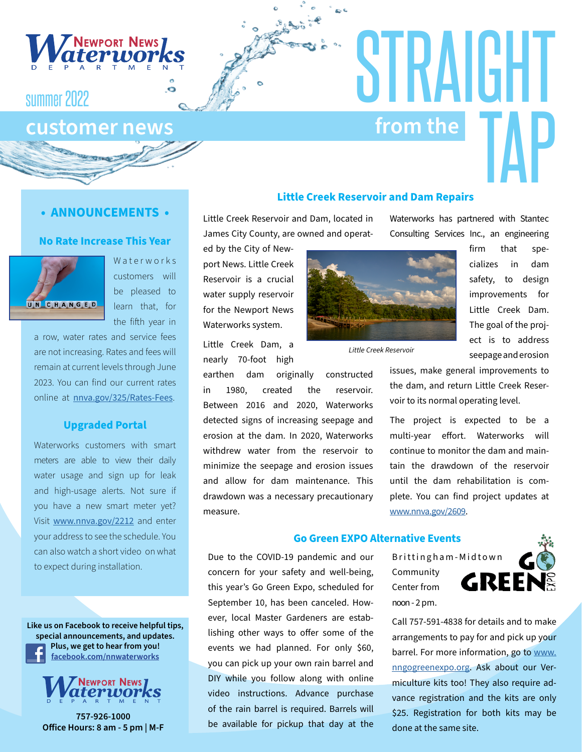

# summer 2022

# **customer news from the** TAP

## **• ANNOUNCEMENTS •**

### **No Rate Increase This Year**



Waterworks customers will be pleased to learn that, for the fifth year in

a row, water rates and service fees are not increasing. Rates and fees will remain at current levels through June 2023. You can find our current rates online at [nnva.gov/325/Rates-Fees](http://nnva.gov/325/Rates-Fees).

### **Upgraded Portal**

Waterworks customers with smart meters are able to view their daily water usage and sign up for leak and high-usage alerts. Not sure if you have a new smart meter yet? Visit [www.nnva.gov/2212](http://www.nnva.gov/2212) and enter your address to see the schedule. You can also watch a short video on what to expect during installation.

**Like us on Facebook to receive helpful tips, special announcements, and updates. Plus, we get to hear from you! [facebook.com/nnwaterworks](http://www.facebook.com/nnwaterworks)**



**757-926-1000 Office Hours: 8 am - 5 pm | M-F** 

### **Little Creek Reservoir and Dam Repairs**

Little Creek Reservoir and Dam, located in James City County, are owned and operat-

ed by the City of Newport News. Little Creek Reservoir is a crucial water supply reservoir for the Newport News Waterworks system.

Little Creek Dam, a nearly 70-foot high

earthen dam originally constructed in 1980, created the reservoir. Between 2016 and 2020, Waterworks detected signs of increasing seepage and erosion at the dam. In 2020, Waterworks withdrew water from the reservoir to minimize the seepage and erosion issues and allow for dam maintenance. This drawdown was a necessary precautionary measure.

Waterworks has partnered with Stantec Consulting Services Inc., an engineering

STRAIGHT



*Little Creek Reservoir*

firm that specializes in dam safety, to design improvements for Little Creek Dam. The goal of the project is to address seepage and erosion

issues, make general improvements to the dam, and return Little Creek Reservoir to its normal operating level.

The project is expected to be a multi-year effort. Waterworks will continue to monitor the dam and maintain the drawdown of the reservoir until the dam rehabilitation is complete. You can find project updates at [www.nnva.gov/2609.](http://www.nnva.gov/2609)

### **Go Green EXPO Alternative Events**

Due to the COVID-19 pandemic and our concern for your safety and well-being, this year's Go Green Expo, scheduled for September 10, has been canceled. However, local Master Gardeners are establishing other ways to offer some of the events we had planned. For only \$60, you can pick up your own rain barrel and DIY while you follow along with online video instructions. Advance purchase of the rain barrel is required. Barrels will be available for pickup that day at the

Brittingham-Midtown Community Center from noon - 2 pm.



Call 757-591-4838 for details and to make arrangements to pay for and pick up your barrel. For more information, go to [www.](http://www.nngogreenexpo.org) [nngogreenexpo.org](http://www.nngogreenexpo.org). Ask about our Vermiculture kits too! They also require advance registration and the kits are only \$25. Registration for both kits may be done at the same site.